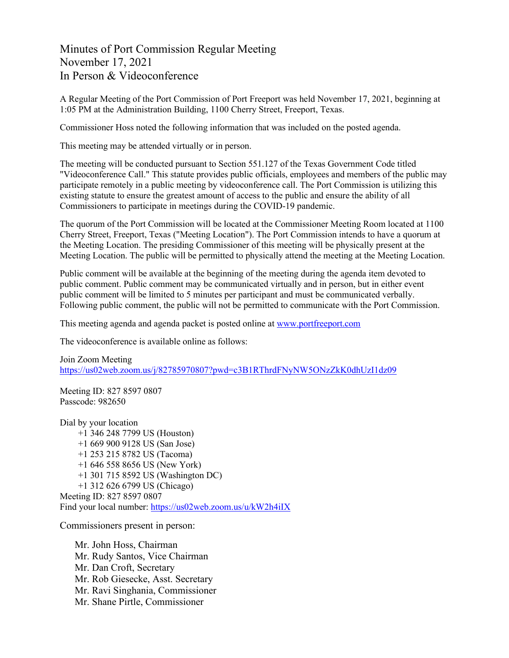Minutes of Port Commission Regular Meeting November 17, 2021 In Person & Videoconference

A Regular Meeting of the Port Commission of Port Freeport was held November 17, 2021, beginning at 1:05 PM at the Administration Building, 1100 Cherry Street, Freeport, Texas.

Commissioner Hoss noted the following information that was included on the posted agenda.

This meeting may be attended virtually or in person.

The meeting will be conducted pursuant to Section 551.127 of the Texas Government Code titled "Videoconference Call." This statute provides public officials, employees and members of the public may participate remotely in a public meeting by videoconference call. The Port Commission is utilizing this existing statute to ensure the greatest amount of access to the public and ensure the ability of all Commissioners to participate in meetings during the COVID-19 pandemic.

The quorum of the Port Commission will be located at the Commissioner Meeting Room located at 1100 Cherry Street, Freeport, Texas ("Meeting Location"). The Port Commission intends to have a quorum at the Meeting Location. The presiding Commissioner of this meeting will be physically present at the Meeting Location. The public will be permitted to physically attend the meeting at the Meeting Location.

Public comment will be available at the beginning of the meeting during the agenda item devoted to public comment. Public comment may be communicated virtually and in person, but in either event public comment will be limited to 5 minutes per participant and must be communicated verbally. Following public comment, the public will not be permitted to communicate with the Port Commission.

This meeting agenda and agenda packet is posted online at [www.portfreeport.com](http://www.portfreeport.com/)

The videoconference is available online as follows:

Join Zoom Meeting <https://us02web.zoom.us/j/82785970807?pwd=c3B1RThrdFNyNW5ONzZkK0dhUzI1dz09>

Meeting ID: 827 8597 0807 Passcode: 982650

Dial by your location +1 346 248 7799 US (Houston) +1 669 900 9128 US (San Jose) +1 253 215 8782 US (Tacoma) +1 646 558 8656 US (New York) +1 301 715 8592 US (Washington DC) +1 312 626 6799 US (Chicago) Meeting ID: 827 8597 0807 Find your local number:<https://us02web.zoom.us/u/kW2h4iIX>

Commissioners present in person:

Mr. John Hoss, Chairman Mr. Rudy Santos, Vice Chairman Mr. Dan Croft, Secretary Mr. Rob Giesecke, Asst. Secretary Mr. Ravi Singhania, Commissioner Mr. Shane Pirtle, Commissioner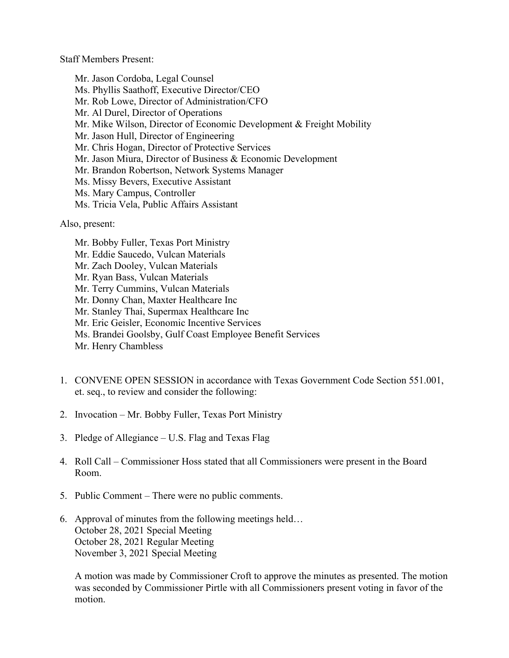Staff Members Present:

Mr. Jason Cordoba, Legal Counsel Ms. Phyllis Saathoff, Executive Director/CEO Mr. Rob Lowe, Director of Administration/CFO Mr. Al Durel, Director of Operations Mr. Mike Wilson, Director of Economic Development & Freight Mobility Mr. Jason Hull, Director of Engineering Mr. Chris Hogan, Director of Protective Services Mr. Jason Miura, Director of Business & Economic Development Mr. Brandon Robertson, Network Systems Manager Ms. Missy Bevers, Executive Assistant Ms. Mary Campus, Controller Ms. Tricia Vela, Public Affairs Assistant

Also, present:

- Mr. Bobby Fuller, Texas Port Ministry Mr. Eddie Saucedo, Vulcan Materials Mr. Zach Dooley, Vulcan Materials Mr. Ryan Bass, Vulcan Materials Mr. Terry Cummins, Vulcan Materials Mr. Donny Chan, Maxter Healthcare Inc Mr. Stanley Thai, Supermax Healthcare Inc Mr. Eric Geisler, Economic Incentive Services Ms. Brandei Goolsby, Gulf Coast Employee Benefit Services Mr. Henry Chambless
- 1. CONVENE OPEN SESSION in accordance with Texas Government Code Section 551.001, et. seq., to review and consider the following:
- 2. Invocation Mr. Bobby Fuller, Texas Port Ministry
- 3. Pledge of Allegiance U.S. Flag and Texas Flag
- 4. Roll Call Commissioner Hoss stated that all Commissioners were present in the Board Room.
- 5. Public Comment There were no public comments.
- 6. Approval of minutes from the following meetings held… October 28, 2021 Special Meeting October 28, 2021 Regular Meeting November 3, 2021 Special Meeting

A motion was made by Commissioner Croft to approve the minutes as presented. The motion was seconded by Commissioner Pirtle with all Commissioners present voting in favor of the motion.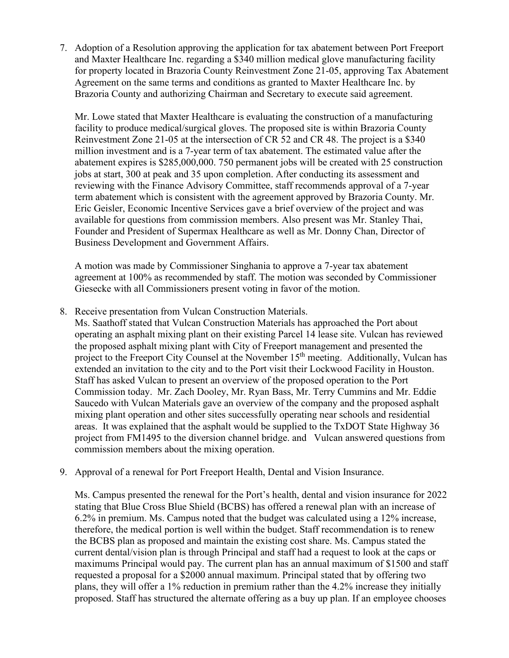7. Adoption of a Resolution approving the application for tax abatement between Port Freeport and Maxter Healthcare Inc. regarding a \$340 million medical glove manufacturing facility for property located in Brazoria County Reinvestment Zone 21-05, approving Tax Abatement Agreement on the same terms and conditions as granted to Maxter Healthcare Inc. by Brazoria County and authorizing Chairman and Secretary to execute said agreement.

Mr. Lowe stated that Maxter Healthcare is evaluating the construction of a manufacturing facility to produce medical/surgical gloves. The proposed site is within Brazoria County Reinvestment Zone 21-05 at the intersection of CR 52 and CR 48. The project is a \$340 million investment and is a 7-year term of tax abatement. The estimated value after the abatement expires is \$285,000,000. 750 permanent jobs will be created with 25 construction jobs at start, 300 at peak and 35 upon completion. After conducting its assessment and reviewing with the Finance Advisory Committee, staff recommends approval of a 7-year term abatement which is consistent with the agreement approved by Brazoria County. Mr. Eric Geisler, Economic Incentive Services gave a brief overview of the project and was available for questions from commission members. Also present was Mr. Stanley Thai, Founder and President of Supermax Healthcare as well as Mr. Donny Chan, Director of Business Development and Government Affairs.

A motion was made by Commissioner Singhania to approve a 7-year tax abatement agreement at 100% as recommended by staff. The motion was seconded by Commissioner Giesecke with all Commissioners present voting in favor of the motion.

8. Receive presentation from Vulcan Construction Materials.

Ms. Saathoff stated that Vulcan Construction Materials has approached the Port about operating an asphalt mixing plant on their existing Parcel 14 lease site. Vulcan has reviewed the proposed asphalt mixing plant with City of Freeport management and presented the project to the Freeport City Counsel at the November 15<sup>th</sup> meeting. Additionally, Vulcan has extended an invitation to the city and to the Port visit their Lockwood Facility in Houston. Staff has asked Vulcan to present an overview of the proposed operation to the Port Commission today. Mr. Zach Dooley, Mr. Ryan Bass, Mr. Terry Cummins and Mr. Eddie Saucedo with Vulcan Materials gave an overview of the company and the proposed asphalt mixing plant operation and other sites successfully operating near schools and residential areas. It was explained that the asphalt would be supplied to the TxDOT State Highway 36 project from FM1495 to the diversion channel bridge. and Vulcan answered questions from commission members about the mixing operation.

9. Approval of a renewal for Port Freeport Health, Dental and Vision Insurance.

Ms. Campus presented the renewal for the Port's health, dental and vision insurance for 2022 stating that Blue Cross Blue Shield (BCBS) has offered a renewal plan with an increase of 6.2% in premium. Ms. Campus noted that the budget was calculated using a 12% increase, therefore, the medical portion is well within the budget. Staff recommendation is to renew the BCBS plan as proposed and maintain the existing cost share. Ms. Campus stated the current dental/vision plan is through Principal and staff had a request to look at the caps or maximums Principal would pay. The current plan has an annual maximum of \$1500 and staff requested a proposal for a \$2000 annual maximum. Principal stated that by offering two plans, they will offer a 1% reduction in premium rather than the 4.2% increase they initially proposed. Staff has structured the alternate offering as a buy up plan. If an employee chooses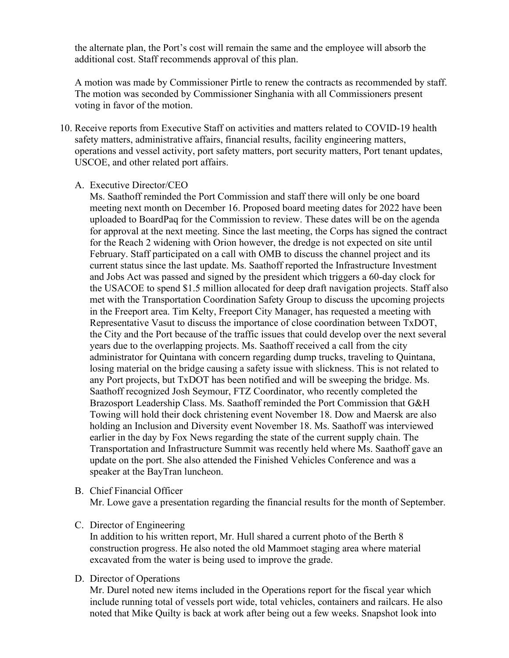the alternate plan, the Port's cost will remain the same and the employee will absorb the additional cost. Staff recommends approval of this plan.

A motion was made by Commissioner Pirtle to renew the contracts as recommended by staff. The motion was seconded by Commissioner Singhania with all Commissioners present voting in favor of the motion.

- 10. Receive reports from Executive Staff on activities and matters related to COVID-19 health safety matters, administrative affairs, financial results, facility engineering matters, operations and vessel activity, port safety matters, port security matters, Port tenant updates, USCOE, and other related port affairs.
	- A. Executive Director/CEO

Ms. Saathoff reminded the Port Commission and staff there will only be one board meeting next month on December 16. Proposed board meeting dates for 2022 have been uploaded to BoardPaq for the Commission to review. These dates will be on the agenda for approval at the next meeting. Since the last meeting, the Corps has signed the contract for the Reach 2 widening with Orion however, the dredge is not expected on site until February. Staff participated on a call with OMB to discuss the channel project and its current status since the last update. Ms. Saathoff reported the Infrastructure Investment and Jobs Act was passed and signed by the president which triggers a 60-day clock for the USACOE to spend \$1.5 million allocated for deep draft navigation projects. Staff also met with the Transportation Coordination Safety Group to discuss the upcoming projects in the Freeport area. Tim Kelty, Freeport City Manager, has requested a meeting with Representative Vasut to discuss the importance of close coordination between TxDOT, the City and the Port because of the traffic issues that could develop over the next several years due to the overlapping projects. Ms. Saathoff received a call from the city administrator for Quintana with concern regarding dump trucks, traveling to Quintana, losing material on the bridge causing a safety issue with slickness. This is not related to any Port projects, but TxDOT has been notified and will be sweeping the bridge. Ms. Saathoff recognized Josh Seymour, FTZ Coordinator, who recently completed the Brazosport Leadership Class. Ms. Saathoff reminded the Port Commission that G&H Towing will hold their dock christening event November 18. Dow and Maersk are also holding an Inclusion and Diversity event November 18. Ms. Saathoff was interviewed earlier in the day by Fox News regarding the state of the current supply chain. The Transportation and Infrastructure Summit was recently held where Ms. Saathoff gave an update on the port. She also attended the Finished Vehicles Conference and was a speaker at the BayTran luncheon.

B. Chief Financial Officer

Mr. Lowe gave a presentation regarding the financial results for the month of September.

C. Director of Engineering

In addition to his written report, Mr. Hull shared a current photo of the Berth 8 construction progress. He also noted the old Mammoet staging area where material excavated from the water is being used to improve the grade.

D. Director of Operations

Mr. Durel noted new items included in the Operations report for the fiscal year which include running total of vessels port wide, total vehicles, containers and railcars. He also noted that Mike Quilty is back at work after being out a few weeks. Snapshot look into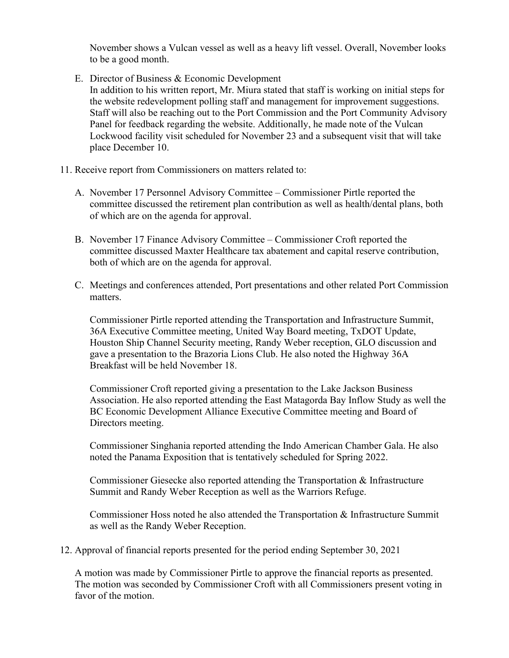November shows a Vulcan vessel as well as a heavy lift vessel. Overall, November looks to be a good month.

E. Director of Business & Economic Development

In addition to his written report, Mr. Miura stated that staff is working on initial steps for the website redevelopment polling staff and management for improvement suggestions. Staff will also be reaching out to the Port Commission and the Port Community Advisory Panel for feedback regarding the website. Additionally, he made note of the Vulcan Lockwood facility visit scheduled for November 23 and a subsequent visit that will take place December 10.

- 11. Receive report from Commissioners on matters related to:
	- A. November 17 Personnel Advisory Committee Commissioner Pirtle reported the committee discussed the retirement plan contribution as well as health/dental plans, both of which are on the agenda for approval.
	- B. November 17 Finance Advisory Committee Commissioner Croft reported the committee discussed Maxter Healthcare tax abatement and capital reserve contribution, both of which are on the agenda for approval.
	- C. Meetings and conferences attended, Port presentations and other related Port Commission matters.

Commissioner Pirtle reported attending the Transportation and Infrastructure Summit, 36A Executive Committee meeting, United Way Board meeting, TxDOT Update, Houston Ship Channel Security meeting, Randy Weber reception, GLO discussion and gave a presentation to the Brazoria Lions Club. He also noted the Highway 36A Breakfast will be held November 18.

Commissioner Croft reported giving a presentation to the Lake Jackson Business Association. He also reported attending the East Matagorda Bay Inflow Study as well the BC Economic Development Alliance Executive Committee meeting and Board of Directors meeting.

Commissioner Singhania reported attending the Indo American Chamber Gala. He also noted the Panama Exposition that is tentatively scheduled for Spring 2022.

Commissioner Giesecke also reported attending the Transportation & Infrastructure Summit and Randy Weber Reception as well as the Warriors Refuge.

Commissioner Hoss noted he also attended the Transportation & Infrastructure Summit as well as the Randy Weber Reception.

12. Approval of financial reports presented for the period ending September 30, 2021

A motion was made by Commissioner Pirtle to approve the financial reports as presented. The motion was seconded by Commissioner Croft with all Commissioners present voting in favor of the motion.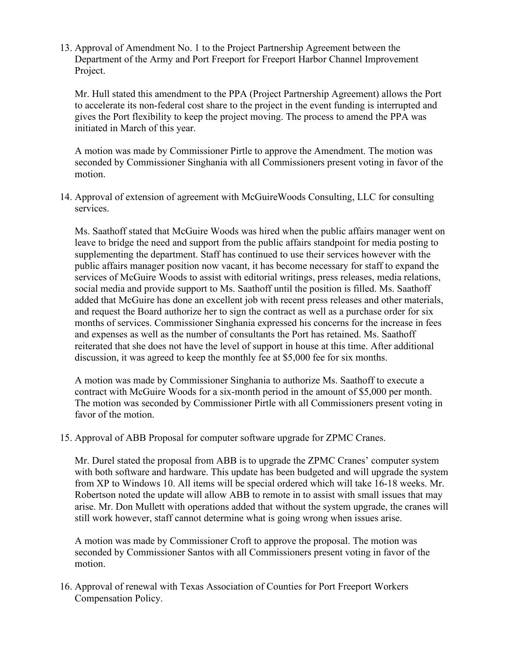13. Approval of Amendment No. 1 to the Project Partnership Agreement between the Department of the Army and Port Freeport for Freeport Harbor Channel Improvement Project.

Mr. Hull stated this amendment to the PPA (Project Partnership Agreement) allows the Port to accelerate its non-federal cost share to the project in the event funding is interrupted and gives the Port flexibility to keep the project moving. The process to amend the PPA was initiated in March of this year.

A motion was made by Commissioner Pirtle to approve the Amendment. The motion was seconded by Commissioner Singhania with all Commissioners present voting in favor of the motion.

14. Approval of extension of agreement with McGuireWoods Consulting, LLC for consulting services.

Ms. Saathoff stated that McGuire Woods was hired when the public affairs manager went on leave to bridge the need and support from the public affairs standpoint for media posting to supplementing the department. Staff has continued to use their services however with the public affairs manager position now vacant, it has become necessary for staff to expand the services of McGuire Woods to assist with editorial writings, press releases, media relations, social media and provide support to Ms. Saathoff until the position is filled. Ms. Saathoff added that McGuire has done an excellent job with recent press releases and other materials, and request the Board authorize her to sign the contract as well as a purchase order for six months of services. Commissioner Singhania expressed his concerns for the increase in fees and expenses as well as the number of consultants the Port has retained. Ms. Saathoff reiterated that she does not have the level of support in house at this time. After additional discussion, it was agreed to keep the monthly fee at \$5,000 fee for six months.

A motion was made by Commissioner Singhania to authorize Ms. Saathoff to execute a contract with McGuire Woods for a six-month period in the amount of \$5,000 per month. The motion was seconded by Commissioner Pirtle with all Commissioners present voting in favor of the motion.

15. Approval of ABB Proposal for computer software upgrade for ZPMC Cranes.

Mr. Durel stated the proposal from ABB is to upgrade the ZPMC Cranes' computer system with both software and hardware. This update has been budgeted and will upgrade the system from XP to Windows 10. All items will be special ordered which will take 16-18 weeks. Mr. Robertson noted the update will allow ABB to remote in to assist with small issues that may arise. Mr. Don Mullett with operations added that without the system upgrade, the cranes will still work however, staff cannot determine what is going wrong when issues arise.

A motion was made by Commissioner Croft to approve the proposal. The motion was seconded by Commissioner Santos with all Commissioners present voting in favor of the motion.

16. Approval of renewal with Texas Association of Counties for Port Freeport Workers Compensation Policy.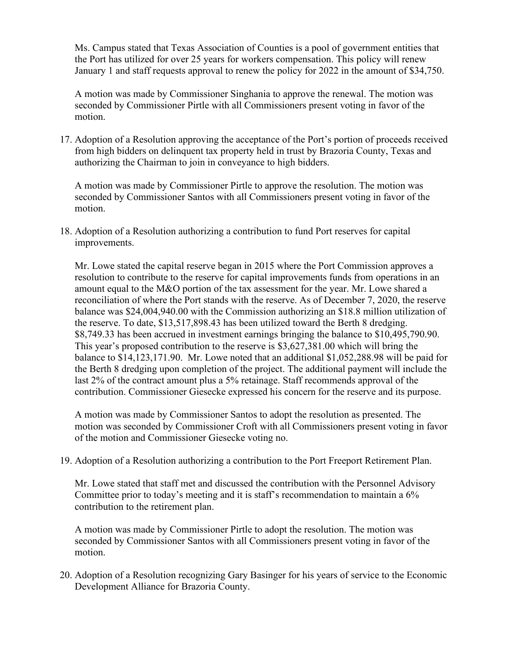Ms. Campus stated that Texas Association of Counties is a pool of government entities that the Port has utilized for over 25 years for workers compensation. This policy will renew January 1 and staff requests approval to renew the policy for 2022 in the amount of \$34,750.

A motion was made by Commissioner Singhania to approve the renewal. The motion was seconded by Commissioner Pirtle with all Commissioners present voting in favor of the motion.

17. Adoption of a Resolution approving the acceptance of the Port's portion of proceeds received from high bidders on delinquent tax property held in trust by Brazoria County, Texas and authorizing the Chairman to join in conveyance to high bidders.

A motion was made by Commissioner Pirtle to approve the resolution. The motion was seconded by Commissioner Santos with all Commissioners present voting in favor of the motion.

18. Adoption of a Resolution authorizing a contribution to fund Port reserves for capital improvements.

Mr. Lowe stated the capital reserve began in 2015 where the Port Commission approves a resolution to contribute to the reserve for capital improvements funds from operations in an amount equal to the M&O portion of the tax assessment for the year. Mr. Lowe shared a reconciliation of where the Port stands with the reserve. As of December 7, 2020, the reserve balance was \$24,004,940.00 with the Commission authorizing an \$18.8 million utilization of the reserve. To date, \$13,517,898.43 has been utilized toward the Berth 8 dredging. \$8,749.33 has been accrued in investment earnings bringing the balance to \$10,495,790.90. This year's proposed contribution to the reserve is \$3,627,381.00 which will bring the balance to \$14,123,171.90. Mr. Lowe noted that an additional \$1,052,288.98 will be paid for the Berth 8 dredging upon completion of the project. The additional payment will include the last 2% of the contract amount plus a 5% retainage. Staff recommends approval of the contribution. Commissioner Giesecke expressed his concern for the reserve and its purpose.

A motion was made by Commissioner Santos to adopt the resolution as presented. The motion was seconded by Commissioner Croft with all Commissioners present voting in favor of the motion and Commissioner Giesecke voting no.

19. Adoption of a Resolution authorizing a contribution to the Port Freeport Retirement Plan.

Mr. Lowe stated that staff met and discussed the contribution with the Personnel Advisory Committee prior to today's meeting and it is staff's recommendation to maintain a 6% contribution to the retirement plan.

A motion was made by Commissioner Pirtle to adopt the resolution. The motion was seconded by Commissioner Santos with all Commissioners present voting in favor of the motion.

20. Adoption of a Resolution recognizing Gary Basinger for his years of service to the Economic Development Alliance for Brazoria County.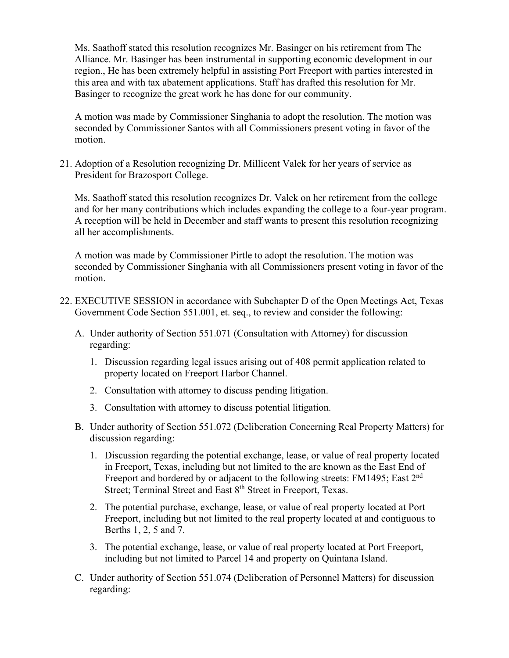Ms. Saathoff stated this resolution recognizes Mr. Basinger on his retirement from The Alliance. Mr. Basinger has been instrumental in supporting economic development in our region., He has been extremely helpful in assisting Port Freeport with parties interested in this area and with tax abatement applications. Staff has drafted this resolution for Mr. Basinger to recognize the great work he has done for our community.

A motion was made by Commissioner Singhania to adopt the resolution. The motion was seconded by Commissioner Santos with all Commissioners present voting in favor of the motion.

21. Adoption of a Resolution recognizing Dr. Millicent Valek for her years of service as President for Brazosport College.

Ms. Saathoff stated this resolution recognizes Dr. Valek on her retirement from the college and for her many contributions which includes expanding the college to a four-year program. A reception will be held in December and staff wants to present this resolution recognizing all her accomplishments.

A motion was made by Commissioner Pirtle to adopt the resolution. The motion was seconded by Commissioner Singhania with all Commissioners present voting in favor of the motion.

- 22. EXECUTIVE SESSION in accordance with Subchapter D of the Open Meetings Act, Texas Government Code Section 551.001, et. seq., to review and consider the following:
	- A. Under authority of Section 551.071 (Consultation with Attorney) for discussion regarding:
		- 1. Discussion regarding legal issues arising out of 408 permit application related to property located on Freeport Harbor Channel.
		- 2. Consultation with attorney to discuss pending litigation.
		- 3. Consultation with attorney to discuss potential litigation.
	- B. Under authority of Section 551.072 (Deliberation Concerning Real Property Matters) for discussion regarding:
		- 1. Discussion regarding the potential exchange, lease, or value of real property located in Freeport, Texas, including but not limited to the are known as the East End of Freeport and bordered by or adjacent to the following streets: FM1495; East 2<sup>nd</sup> Street; Terminal Street and East 8<sup>th</sup> Street in Freeport, Texas.
		- 2. The potential purchase, exchange, lease, or value of real property located at Port Freeport, including but not limited to the real property located at and contiguous to Berths 1, 2, 5 and 7.
		- 3. The potential exchange, lease, or value of real property located at Port Freeport, including but not limited to Parcel 14 and property on Quintana Island.
	- C. Under authority of Section 551.074 (Deliberation of Personnel Matters) for discussion regarding: